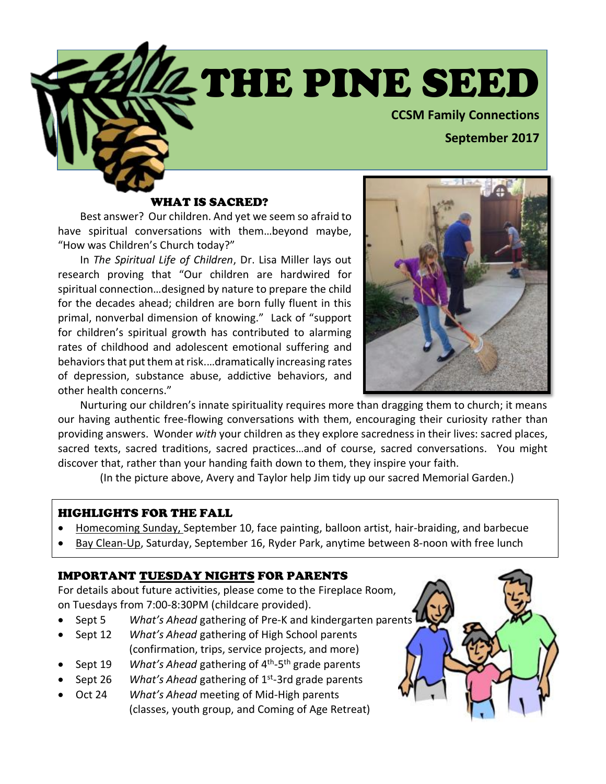THE PINE SEED

**CCSM Family Connections**

**September 2017**

### WHAT IS SACRED?

Best answer? Our children. And yet we seem so afraid to have spiritual conversations with them…beyond maybe, "How was Children's Church today?"

In *The Spiritual Life of Children*, Dr. Lisa Miller lays out research proving that "Our children are hardwired for spiritual connection…designed by nature to prepare the child for the decades ahead; children are born fully fluent in this primal, nonverbal dimension of knowing." Lack of "support for children's spiritual growth has contributed to alarming rates of childhood and adolescent emotional suffering and behaviors that put them at risk.…dramatically increasing rates of depression, substance abuse, addictive behaviors, and other health concerns."



Nurturing our children's innate spirituality requires more than dragging them to church; it means our having authentic free-flowing conversations with them, encouraging their curiosity rather than providing answers. Wonder *with* your children as they explore sacredness in their lives: sacred places, sacred texts, sacred traditions, sacred practices…and of course, sacred conversations. You might discover that, rather than your handing faith down to them, they inspire your faith.

(In the picture above, Avery and Taylor help Jim tidy up our sacred Memorial Garden.)

### HIGHLIGHTS FOR THE FALL

- Homecoming Sunday, September 10, face painting, balloon artist, hair-braiding, and barbecue
- Bay Clean-Up, Saturday, September 16, Ryder Park, anytime between 8-noon with free lunch

### IMPORTANT TUESDAY NIGHTS FOR PARENTS

For details about future activities, please come to the Fireplace Room, on Tuesdays from 7:00-8:30PM (childcare provided).

- Sept 5 *What's Ahead* gathering of Pre-K and kindergarten parents
- Sept 12 *What's Ahead* gathering of High School parents (confirmation, trips, service projects, and more)
- Sept 19 *What's Ahead* gathering of 4th-5th grade parents
- Sept 26 *What's Ahead* gathering of 1st-3rd grade parents
- Oct 24 *What's Ahead* meeting of Mid-High parents (classes, youth group, and Coming of Age Retreat)